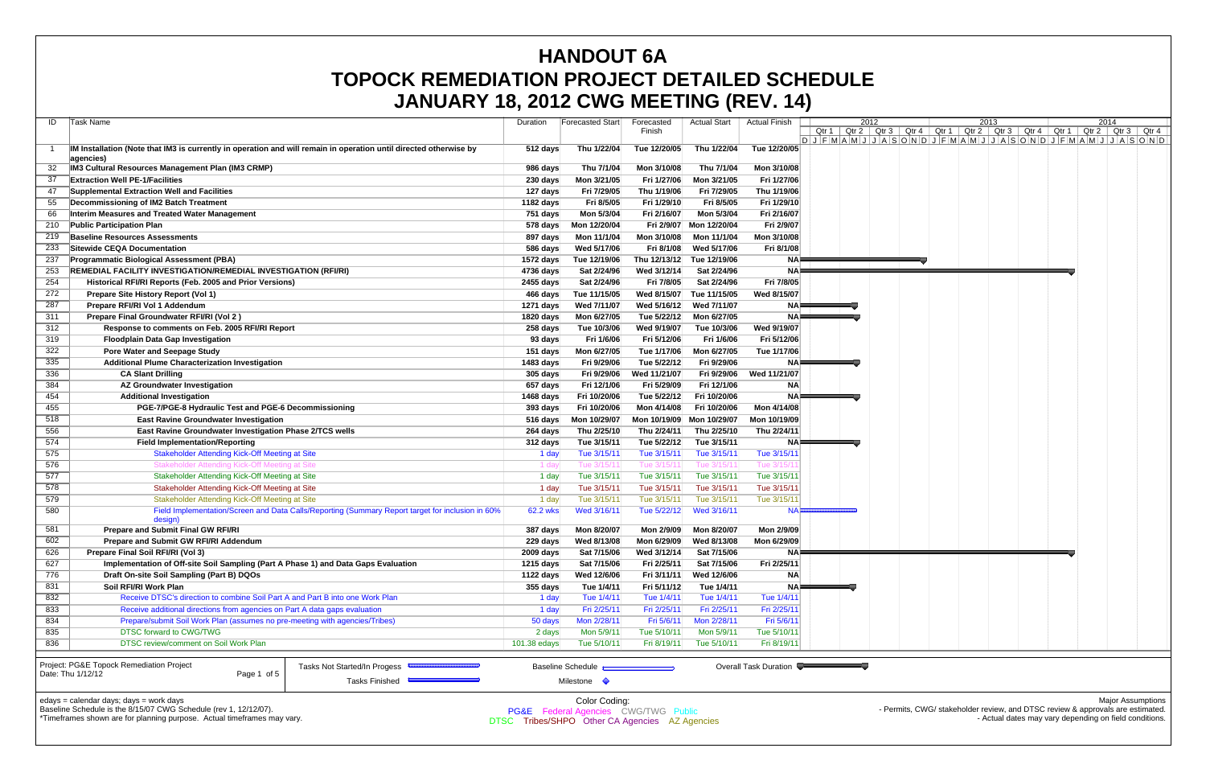|     | JANUANT 10, ZUTZ UWU MEETING (NEV. 14)                                                                            |              |                                                 |              |                           |                        |      |  |      |  |                                                                                               |
|-----|-------------------------------------------------------------------------------------------------------------------|--------------|-------------------------------------------------|--------------|---------------------------|------------------------|------|--|------|--|-----------------------------------------------------------------------------------------------|
| IDI | Task Name                                                                                                         | Duration     | Forecasted Start                                | Forecasted   | Actual Start              | Actual Finish          | 2012 |  | 2013 |  | 2014                                                                                          |
|     |                                                                                                                   |              |                                                 | Finish       |                           |                        |      |  |      |  | Qtr 1   Qtr 2   Qtr 3   Qtr 4   Qtr 1   Qtr 2   Qtr 3   Qtr 4   Qtr 1   Qtr 2   Qtr 3   Qtr 4 |
|     | IM Installation (Note that IM3 is currently in operation and will remain in operation until directed otherwise by | 512 days     | Thu 1/22/04                                     | Tue 12/20/05 | Thu 1/22/04               | Tue 12/20/05           |      |  |      |  | $DJFMAMJJJASONDJFMAMJJJASOND$                                                                 |
|     | aqencies)                                                                                                         |              |                                                 |              |                           |                        |      |  |      |  |                                                                                               |
| 32  | <b>IM3 Cultural Resources Management Plan (IM3 CRMP)</b>                                                          | 986 days     | Thu 7/1/04                                      | Mon 3/10/08  | Thu 7/1/04                | Mon 3/10/08            |      |  |      |  |                                                                                               |
| -37 | <b>Extraction Well PE-1/Facilities</b>                                                                            | 230 days     | Mon 3/21/05                                     | Fri 1/27/06  | Mon 3/21/05               | Fri 1/27/06            |      |  |      |  |                                                                                               |
| 47  | Supplemental Extraction Well and Facilities                                                                       | 127 days     | Fri 7/29/05                                     | Thu 1/19/06  | Fri 7/29/05               | Thu 1/19/06            |      |  |      |  |                                                                                               |
| 55  | Decommissioning of IM2 Batch Treatment                                                                            | 1182 days    | Fri 8/5/05                                      | Fri 1/29/10  | Fri 8/5/05                | Fri 1/29/10            |      |  |      |  |                                                                                               |
| 66  | Interim Measures and Treated Water Management                                                                     | 751 days     | Mon 5/3/04                                      | Fri 2/16/07  | Mon 5/3/04                | Fri 2/16/07            |      |  |      |  |                                                                                               |
| 210 | <b>Public Participation Plan</b>                                                                                  | 578 days     | Mon 12/20/04                                    |              | Fri 2/9/07 Mon 12/20/04   | Fri 2/9/07             |      |  |      |  |                                                                                               |
| 219 | <b>Baseline Resources Assessments</b>                                                                             | 897 days     | Mon 11/1/04                                     | Mon 3/10/08  | Mon 11/1/04               | Mon 3/10/08            |      |  |      |  |                                                                                               |
| 233 | <b>Sitewide CEQA Documentation</b>                                                                                | 586 days     | Wed 5/17/06                                     | Fri 8/1/08   | Wed 5/17/06               | Fri 8/1/08             |      |  |      |  |                                                                                               |
| 237 | <b>Programmatic Biological Assessment (PBA)</b>                                                                   | 1572 days    | Tue 12/19/06                                    | Thu 12/13/12 | Tue 12/19/06              | NAF                    |      |  |      |  |                                                                                               |
| 253 | <b>REMEDIAL FACILITY INVESTIGATION/REMEDIAL INVESTIGATION (RFI/RI)</b>                                            | 4736 days    | Sat 2/24/96                                     | Wed 3/12/14  | Sat 2/24/96               | <b>NA</b>              |      |  |      |  |                                                                                               |
| 254 | Historical RFI/RI Reports (Feb. 2005 and Prior Versions)                                                          | 2455 days    | Sat 2/24/96                                     | Fri 7/8/05   | Sat 2/24/96               | Fri 7/8/05             |      |  |      |  |                                                                                               |
| 272 | Prepare Site History Report (Vol 1)                                                                               | 466 days     | Tue 11/15/05                                    | Wed 8/15/07  | Tue 11/15/05              | Wed 8/15/07            |      |  |      |  |                                                                                               |
| 287 | Prepare RFI/RI Vol 1 Addendum                                                                                     | 1271 days    | Wed 7/11/07                                     | Wed 5/16/12  | Wed 7/11/07               |                        |      |  |      |  |                                                                                               |
| 311 | Prepare Final Groundwater RFI/RI (Vol 2)                                                                          | 1820 days    | Mon 6/27/05                                     | Tue 5/22/12  | Mon 6/27/05               | NA!                    |      |  |      |  |                                                                                               |
| 312 | Response to comments on Feb. 2005 RFI/RI Report                                                                   | 258 days     | Tue 10/3/06                                     | Wed 9/19/07  | Tue 10/3/06               | Wed 9/19/07            |      |  |      |  |                                                                                               |
| 319 | <b>Floodplain Data Gap Investigation</b>                                                                          | 93 days      | Fri 1/6/06                                      | Fri 5/12/06  | Fri 1/6/06                | Fri 5/12/06            |      |  |      |  |                                                                                               |
| 322 | <b>Pore Water and Seepage Study</b>                                                                               | 151 days     | Mon 6/27/05                                     | Tue 1/17/06  | Mon 6/27/05               | Tue 1/17/06            |      |  |      |  |                                                                                               |
| 335 | <b>Additional Plume Characterization Investigation</b>                                                            | 1483 days    | Fri 9/29/06                                     | Tue 5/22/12  | Fri 9/29/06               | NAI                    |      |  |      |  |                                                                                               |
| 336 | <b>CA Slant Drilling</b>                                                                                          | $305$ days   | Fri 9/29/06                                     | Wed 11/21/07 | Fri 9/29/06               | Wed 11/21/07           |      |  |      |  |                                                                                               |
| 384 | <b>AZ Groundwater Investigation</b>                                                                               | 657 days     | Fri 12/1/06                                     | Fri 5/29/09  | Fri 12/1/06               | ΝA                     |      |  |      |  |                                                                                               |
| 454 | <b>Additional Investigation</b>                                                                                   | 1468 days    | Fri 10/20/06                                    | Tue 5/22/12  | Fri 10/20/06              | <b>NA</b>              |      |  |      |  |                                                                                               |
| 455 | PGE-7/PGE-8 Hydraulic Test and PGE-6 Decommissioning                                                              | 393 days     | Fri 10/20/06                                    | Mon 4/14/08  | Fri 10/20/06              | Mon 4/14/08            |      |  |      |  |                                                                                               |
| 518 | <b>East Ravine Groundwater Investigation</b>                                                                      | 516 days     | Mon 10/29/07                                    |              | Mon 10/19/09 Mon 10/29/07 | Mon 10/19/09           |      |  |      |  |                                                                                               |
| 556 | East Ravine Groundwater Investigation Phase 2/TCS wells                                                           | 264 days     | Thu 2/25/10                                     | Thu 2/24/11  | Thu 2/25/10               | Thu 2/24/1             |      |  |      |  |                                                                                               |
| 574 | <b>Field Implementation/Reporting</b>                                                                             | 312 days     | Tue 3/15/11                                     | Tue 5/22/12  | Tue 3/15/11               |                        |      |  |      |  |                                                                                               |
| 575 | Stakeholder Attending Kick-Off Meeting at Site                                                                    | 1 day        | Tue 3/15/11                                     | Tue 3/15/11  | Tue 3/15/11               | Tue 3/15/1             |      |  |      |  |                                                                                               |
| 576 | Stakeholder Attending Kick-Off Meeting at Site                                                                    | 1 day        | Tue 3/15/1                                      | Tue 3/15/1   | Tue 3/15/1                | Tue 3/15/ <sup>,</sup> |      |  |      |  |                                                                                               |
| 577 | Stakeholder Attending Kick-Off Meeting at Site                                                                    | 1 day        | Tue 3/15/11                                     | Tue 3/15/11  | Tue 3/15/11               | Tue 3/15/1             |      |  |      |  |                                                                                               |
| 578 | Stakeholder Attending Kick-Off Meeting at Site                                                                    | 1 day        | Tue 3/15/11                                     | Tue 3/15/11  | Tue 3/15/11               | Tue 3/15/1             |      |  |      |  |                                                                                               |
| 579 | Stakeholder Attending Kick-Off Meeting at Site                                                                    | 1 day        | Tue 3/15/11                                     | Tue 3/15/11  | Tue 3/15/11               | Tue 3/15/1             |      |  |      |  |                                                                                               |
| 580 | Field Implementation/Screen and Data Calls/Reporting (Summary Report target for inclusion in 60%                  | 62.2 wks     | Wed 3/16/11                                     | Tue 5/22/12  | Wed 3/16/11               | <b>NAI</b>             |      |  |      |  |                                                                                               |
|     | design)                                                                                                           |              |                                                 |              |                           |                        |      |  |      |  |                                                                                               |
| 581 | Prepare and Submit Final GW RFI/RI                                                                                | 387 days     | Mon 8/20/07                                     | Mon 2/9/09   | Mon 8/20/07               | Mon 2/9/09             |      |  |      |  |                                                                                               |
| 602 | <b>Prepare and Submit GW RFI/RI Addendum</b>                                                                      | 229 days     | Wed 8/13/08                                     | Mon 6/29/09  | Wed 8/13/08               | Mon 6/29/09            |      |  |      |  |                                                                                               |
| 626 | Prepare Final Soil RFI/RI (Vol 3)                                                                                 | $2009$ days  | Sat 7/15/06                                     | Wed 3/12/14  | Sat 7/15/06               | NA⊫                    |      |  |      |  |                                                                                               |
| 627 | Implementation of Off-site Soil Sampling (Part A Phase 1) and Data Gaps Evaluation                                | 1215 days    | Sat 7/15/06                                     | Fri 2/25/11  | Sat 7/15/06               | Fri 2/25/11            |      |  |      |  |                                                                                               |
| 776 | Draft On-site Soil Sampling (Part B) DQOs                                                                         | 1122 days    | Wed 12/6/06                                     | Fri 3/11/11  | Wed 12/6/06               | <b>NA</b>              |      |  |      |  |                                                                                               |
| 831 | Soil RFI/RI Work Plan                                                                                             | $355$ days   | Tue 1/4/11                                      | Fri 5/11/12  | Tue 1/4/11                | <b>NA</b>              |      |  |      |  |                                                                                               |
| 832 | Receive DTSC's direction to combine Soil Part A and Part B into one Work Plan                                     | 1 day        | Tue 1/4/11                                      | Tue 1/4/11   | Tue 1/4/11                | Tue 1/4/1              |      |  |      |  |                                                                                               |
| 833 | Receive additional directions from agencies on Part A data gaps evaluation                                        | 1 day        | Fri 2/25/11                                     | Fri 2/25/11  | Fri 2/25/11               | Fri 2/25/1             |      |  |      |  |                                                                                               |
| 834 | Prepare/submit Soil Work Plan (assumes no pre-meeting with agencies/Tribes)                                       | 50 days      | Mon 2/28/11                                     | Fri 5/6/11   | Mon 2/28/11               | Fri 5/6/1              |      |  |      |  |                                                                                               |
| 835 | <b>DTSC forward to CWG/TWG</b>                                                                                    | 2 days       | Mon 5/9/11                                      | Tue 5/10/11  | Mon 5/9/11                | Tue 5/10/1             |      |  |      |  |                                                                                               |
| 836 | DTSC review/comment on Soil Work Plan                                                                             | 101.38 edays | Tue 5/10/11                                     | Fri 8/19/11  | Tue 5/10/11               | Fri 8/19/1             |      |  |      |  |                                                                                               |
|     | Project: PG&E Topock Remediation Project<br>Tasks Not Started/In Progess                                          |              | <b>Baseline Schedule</b>                        |              |                           | Overall Task Duration  |      |  |      |  |                                                                                               |
|     | Date: Thu 1/12/12<br>Page 1 of 5                                                                                  |              |                                                 |              |                           |                        |      |  |      |  |                                                                                               |
|     | Tasks Finished                                                                                                    |              | Milestone $\Diamond$                            |              |                           |                        |      |  |      |  |                                                                                               |
|     | edays = calendar days; days = work days                                                                           |              | Color Coding:                                   |              |                           |                        |      |  |      |  | <b>Major Assumptions</b>                                                                      |
|     | Baseline Schedule is the 8/15/07 CWG Schedule (rev 1, 12/12/07).                                                  |              | <b>PG&amp;E</b> Federal Agencies CWG/TWG Public |              |                           |                        |      |  |      |  | - Permits, CWG/ stakeholder review, and DTSC review & approvals are estimated.                |
|     | *Timeframes shown are for planning purpose. Actual timeframes may vary.                                           |              | DTSC Tribes/SHPO Other CA Agencies AZ Agencies  |              |                           |                        |      |  |      |  | - Actual dates may vary depending on field conditions.                                        |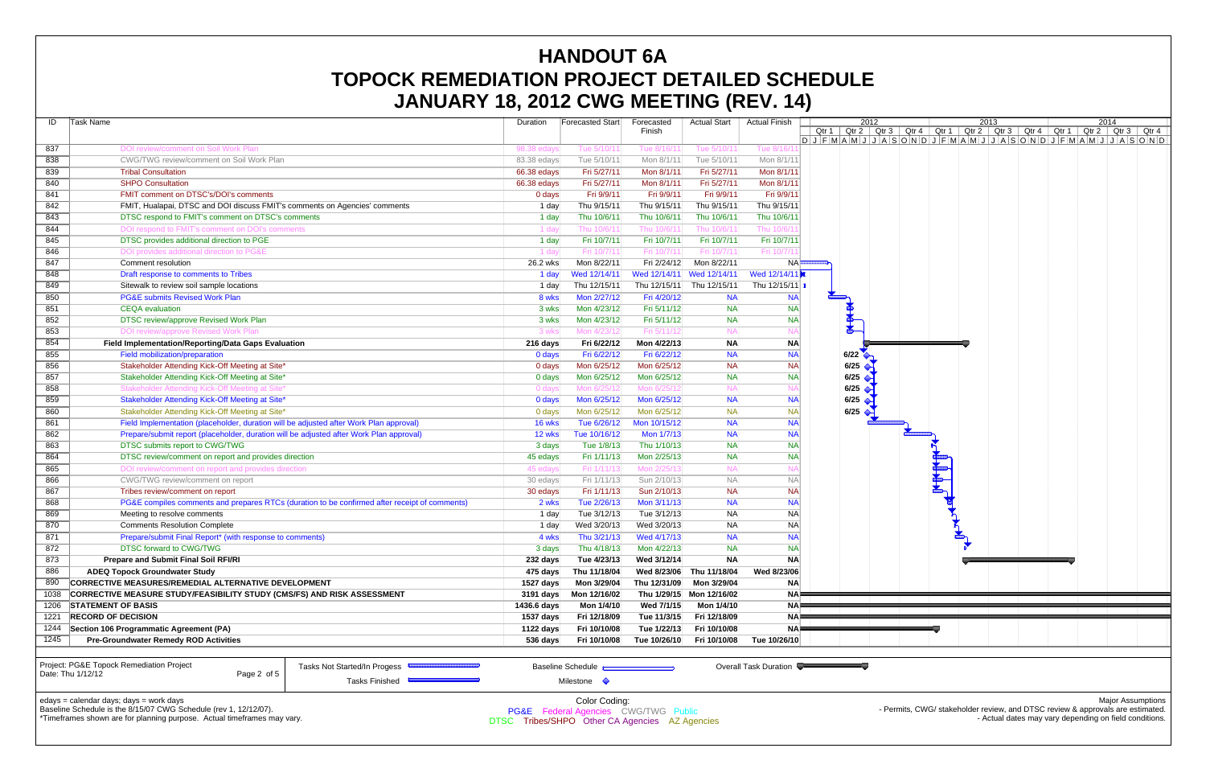|      | UANUAN TU, LUTL UNU MEETING (NEV. 17)                                                                        |                                                |                                                                  |                         |                           |                        |                                                                              |                                                                                                       |  |      |  |                                                                                |      |                          |
|------|--------------------------------------------------------------------------------------------------------------|------------------------------------------------|------------------------------------------------------------------|-------------------------|---------------------------|------------------------|------------------------------------------------------------------------------|-------------------------------------------------------------------------------------------------------|--|------|--|--------------------------------------------------------------------------------|------|--------------------------|
| ID   | Task Name                                                                                                    | Duration                                       | Forecasted Start                                                 | Forecasted              | <b>Actual Start</b>       | <b>Actual Finish</b>   |                                                                              | 2012<br>Qtr 1   Qtr 2   Qtr 3   Qtr 4   Qtr 1   Qtr 2   Qtr 3   Qtr 4   Qtr 1   Qtr 2   Qtr 3   Qtr 4 |  | 2013 |  |                                                                                | 2014 |                          |
|      |                                                                                                              |                                                |                                                                  | Finish                  |                           |                        | $D J F M A M J J A S O N D J F M A M J J A S O N D J F M A M J J A S O N D $ |                                                                                                       |  |      |  |                                                                                |      |                          |
| 837  | DOI review/comment on Soil Work Plan                                                                         | 98.38 edays                                    | Tue 5/10/11                                                      | Tue 8/16/1              | Tue 5/10/11               | Tue 8/16/1             |                                                                              |                                                                                                       |  |      |  |                                                                                |      |                          |
| 838  | CWG/TWG review/comment on Soil Work Plan                                                                     | 83.38 edays                                    | Tue 5/10/11                                                      | Mon 8/1/11              | Tue 5/10/11               | Mon 8/1/1              |                                                                              |                                                                                                       |  |      |  |                                                                                |      |                          |
| 839  | <b>Tribal Consultation</b>                                                                                   | 66.38 edays                                    | Fri 5/27/11                                                      | Mon 8/1/11              | Fri 5/27/11               | Mon 8/1/1              |                                                                              |                                                                                                       |  |      |  |                                                                                |      |                          |
| 840  | <b>SHPO Consultation</b>                                                                                     | 66.38 edays                                    | Fri 5/27/11                                                      | Mon 8/1/11              | Fri 5/27/11               | Mon 8/1/1              |                                                                              |                                                                                                       |  |      |  |                                                                                |      |                          |
| 841  | FMIT comment on DTSC's/DOI's comments                                                                        | 0 days                                         | Fri 9/9/11                                                       | Fri 9/9/11              | Fri 9/9/11                | Fri 9/9/1              |                                                                              |                                                                                                       |  |      |  |                                                                                |      |                          |
| 842  | FMIT, Hualapai, DTSC and DOI discuss FMIT's comments on Agencies' comments                                   | 1 day                                          | Thu 9/15/11                                                      | Thu 9/15/11             | Thu 9/15/11               | Thu 9/15/1             |                                                                              |                                                                                                       |  |      |  |                                                                                |      |                          |
| 843  | DTSC respond to FMIT's comment on DTSC's comments                                                            | 1 day                                          | Thu 10/6/11                                                      | Thu 10/6/11             | Thu 10/6/11               | Thu 10/6/1             |                                                                              |                                                                                                       |  |      |  |                                                                                |      |                          |
| 844  | DOI respond to FMIT's comment on DOI's comments                                                              | 1 day                                          | Thu 10/6/11                                                      | Thu 10/6/1              | Thu 10/6/1′               | Thu 10/6/ <sup>-</sup> |                                                                              |                                                                                                       |  |      |  |                                                                                |      |                          |
| 845  | DTSC provides additional direction to PGE                                                                    | 1 day                                          | Fri 10/7/11                                                      | Fri 10/7/11             | Fri 10/7/11               | Fri 10/7/1             |                                                                              |                                                                                                       |  |      |  |                                                                                |      |                          |
| 846  | DOI provides additional direction to PG&E                                                                    | 1 day                                          | Fri 10/7/11                                                      | Fri 10/7/1              | Fri 10/7/11               | Fri 10/7/              |                                                                              |                                                                                                       |  |      |  |                                                                                |      |                          |
| 847  | Comment resolution                                                                                           | 26.2 wks                                       | Mon 8/22/11                                                      | Fri 2/24/12             | Mon 8/22/11               |                        |                                                                              |                                                                                                       |  |      |  |                                                                                |      |                          |
| 848  | Draft response to comments to Tribes                                                                         | 1 day                                          | Wed 12/14/11                                                     |                         | Wed 12/14/11 Wed 12/14/11 | Wed 12/14/1            |                                                                              |                                                                                                       |  |      |  |                                                                                |      |                          |
| 849  | Sitewalk to review soil sample locations                                                                     | 1 day                                          | Thu 12/15/11                                                     |                         | Thu 12/15/11 Thu 12/15/11 | Thu 12/15/11           |                                                                              |                                                                                                       |  |      |  |                                                                                |      |                          |
| 850  | <b>PG&amp;E submits Revised Work Plan</b>                                                                    | 8 wks                                          | Mon 2/27/12                                                      | Fri 4/20/12             | <b>NA</b>                 | <b>NA</b>              |                                                                              |                                                                                                       |  |      |  |                                                                                |      |                          |
| 851  | <b>CEQA</b> evaluation                                                                                       | 3 wks                                          | Mon 4/23/12                                                      | Fri 5/11/12             | <b>NA</b>                 | <b>NA</b>              |                                                                              |                                                                                                       |  |      |  |                                                                                |      |                          |
| 852  | DTSC review/approve Revised Work Plan                                                                        | 3 wks                                          | Mon 4/23/12                                                      | Fri 5/11/12             | <b>NA</b>                 | <b>NA</b>              |                                                                              |                                                                                                       |  |      |  |                                                                                |      |                          |
| 853  | DOI review/approve Revised Work Plan                                                                         | 3 wks                                          | Mon 4/23/12                                                      | Fri 5/11/1:             | <b>NA</b>                 |                        | $\frac{1}{\sqrt{2}}$                                                         |                                                                                                       |  |      |  |                                                                                |      |                          |
| 854  | Field Implementation/Reporting/Data Gaps Evaluation                                                          | 216 days                                       | Fri 6/22/12                                                      | Mon 4/22/13             | <b>NA</b>                 | <b>NA</b>              |                                                                              |                                                                                                       |  |      |  |                                                                                |      |                          |
| 855  | Field mobilization/preparation                                                                               | 0 days                                         | Fri 6/22/12                                                      | Fri 6/22/12             | <b>NA</b>                 | <b>NA</b>              | 6/22                                                                         |                                                                                                       |  |      |  |                                                                                |      |                          |
| 856  | Stakeholder Attending Kick-Off Meeting at Site*                                                              | 0 days                                         | Mon 6/25/12                                                      | Mon 6/25/12             | <b>NA</b>                 | <b>NA</b>              | 6/25                                                                         |                                                                                                       |  |      |  |                                                                                |      |                          |
| 857  | Stakeholder Attending Kick-Off Meeting at Site*                                                              | 0 days                                         | Mon 6/25/12                                                      | Mon 6/25/12             | <b>NA</b>                 | <b>NA</b>              | 6/25                                                                         |                                                                                                       |  |      |  |                                                                                |      |                          |
| 858  | Stakeholder Attending Kick-Off Meeting at Site*                                                              | 0 days                                         | Mon 6/25/12                                                      | Mon 6/25/1              | <b>NA</b>                 |                        | 6/25                                                                         |                                                                                                       |  |      |  |                                                                                |      |                          |
| 859  | Stakeholder Attending Kick-Off Meeting at Site*                                                              | 0 days                                         | Mon 6/25/12                                                      | Mon 6/25/12             | <b>NA</b>                 | <b>NA</b>              | 6/25                                                                         |                                                                                                       |  |      |  |                                                                                |      |                          |
| 860  | Stakeholder Attending Kick-Off Meeting at Site*                                                              | 0 days                                         | Mon 6/25/12                                                      | Mon 6/25/12             | <b>NA</b>                 | <b>NA</b>              | 6/25                                                                         |                                                                                                       |  |      |  |                                                                                |      |                          |
| 861  | Field Implementation (placeholder, duration will be adjusted after Work Plan approval)                       | $16$ wks                                       | Tue 6/26/12                                                      | Mon 10/15/12            | <b>NA</b>                 | <b>NA</b>              |                                                                              |                                                                                                       |  |      |  |                                                                                |      |                          |
| 862  | Prepare/submit report (placeholder, duration will be adjusted after Work Plan approval)                      | $12$ wks                                       | Tue 10/16/12                                                     | Mon 1/7/13              | <b>NA</b>                 | <b>NA</b>              |                                                                              |                                                                                                       |  |      |  |                                                                                |      |                          |
| 863  | DTSC submits report to CWG/TWG                                                                               | 3 days                                         | Tue 1/8/13                                                       | Thu 1/10/13             | <b>NA</b>                 | <b>NA</b>              |                                                                              |                                                                                                       |  |      |  |                                                                                |      |                          |
| 864  | DTSC review/comment on report and provides direction                                                         | 45 edays                                       | Fri 1/11/13                                                      | Mon 2/25/13             | <b>NA</b>                 | <b>NA</b>              |                                                                              |                                                                                                       |  |      |  |                                                                                |      |                          |
|      |                                                                                                              |                                                |                                                                  | Mon 2/25/1              |                           |                        |                                                                              |                                                                                                       |  |      |  |                                                                                |      |                          |
| 865  | DOI review/comment on report and provides direction                                                          | 45 edays                                       | Fri 1/11/13                                                      |                         | <b>NA</b>                 |                        |                                                                              |                                                                                                       |  |      |  |                                                                                |      |                          |
| 866  | CWG/TWG review/comment on report                                                                             | 30 edays                                       | Fri 1/11/13                                                      | Sun 2/10/13             | <b>NA</b>                 | <b>NA</b>              |                                                                              |                                                                                                       |  |      |  |                                                                                |      |                          |
| 867  | Tribes review/comment on report                                                                              | 30 edays                                       | Fri 1/11/13                                                      | Sun 2/10/13             | <b>NA</b>                 | <b>NA</b>              |                                                                              |                                                                                                       |  |      |  |                                                                                |      |                          |
| 868  | PG&E compiles comments and prepares RTCs (duration to be confirmed after receipt of comments)                | 2 wks                                          | Tue 2/26/13                                                      | Mon 3/11/13             | <b>NA</b>                 | <b>NA</b>              |                                                                              |                                                                                                       |  |      |  |                                                                                |      |                          |
| 869  | Meeting to resolve comments                                                                                  | 1 day                                          | Tue 3/12/13                                                      | Tue 3/12/13             | <b>NA</b>                 | <b>NA</b>              |                                                                              |                                                                                                       |  |      |  |                                                                                |      |                          |
| 870  | <b>Comments Resolution Complete</b>                                                                          | 1 day                                          | Wed 3/20/13                                                      | Wed 3/20/13             | <b>NA</b>                 | <b>NA</b>              |                                                                              |                                                                                                       |  |      |  |                                                                                |      |                          |
| 871  | Prepare/submit Final Report* (with response to comments)                                                     | 4 wks                                          | Thu 3/21/13                                                      | Wed 4/17/13             | <b>NA</b>                 | <b>NA</b>              |                                                                              |                                                                                                       |  |      |  |                                                                                |      |                          |
| 872  | DTSC forward to CWG/TWG                                                                                      | 3 days                                         |                                                                  | Thu 4/18/13 Mon 4/22/13 | <b>NA</b>                 | <b>NA</b>              |                                                                              |                                                                                                       |  |      |  |                                                                                |      |                          |
| 873  | Prepare and Submit Final Soil RFI/RI                                                                         | 232 days                                       | Tue 4/23/13                                                      | Wed 3/12/14             | <b>NA</b>                 | <b>NA</b>              |                                                                              |                                                                                                       |  |      |  |                                                                                |      |                          |
| 886  | <b>ADEQ Topock Groundwater Study</b>                                                                         | 475 days                                       | Thu 11/18/04                                                     | Wed 8/23/06             | Thu 11/18/04              | Wed 8/23/06            |                                                                              |                                                                                                       |  |      |  |                                                                                |      |                          |
| 890  | CORRECTIVE MEASURES/REMEDIAL ALTERNATIVE DEVELOPMENT                                                         | 1527 days                                      | Mon 3/29/04                                                      | Thu 12/31/09            | Mon 3/29/04               | <b>NA</b>              |                                                                              |                                                                                                       |  |      |  |                                                                                |      |                          |
| 1038 | <b>CORRECTIVE MEASURE STUDY/FEASIBILITY STUDY (CMS/FS) AND RISK ASSESSMENT</b>                               | 3191 days                                      | Mon 12/16/02                                                     |                         | Thu 1/29/15 Mon 12/16/02  | <b>NA</b>              |                                                                              |                                                                                                       |  |      |  |                                                                                |      |                          |
| 1206 | <b>STATEMENT OF BASIS</b>                                                                                    | 1436.6 days                                    | Mon 1/4/10                                                       | Wed 7/1/15              | Mon 1/4/10                | NAI                    |                                                                              |                                                                                                       |  |      |  |                                                                                |      |                          |
| 1221 | <b>RECORD OF DECISION</b>                                                                                    | 1537 days                                      | Fri 12/18/09                                                     | Tue 11/3/15             | Fri 12/18/09              | NA⊧                    |                                                                              |                                                                                                       |  |      |  |                                                                                |      |                          |
| 1244 | Section 106 Programmatic Agreement (PA)                                                                      | 1122 days                                      | Fri 10/10/08                                                     | Tue 1/22/13             | Fri 10/10/08              | NAI                    |                                                                              |                                                                                                       |  |      |  |                                                                                |      |                          |
| 1245 | <b>Pre-Groundwater Remedy ROD Activities</b>                                                                 | 536 days                                       | Fri 10/10/08                                                     | Tue 10/26/10            | Fri 10/10/08              | Tue 10/26/10           |                                                                              |                                                                                                       |  |      |  |                                                                                |      |                          |
|      |                                                                                                              |                                                |                                                                  |                         |                           |                        |                                                                              |                                                                                                       |  |      |  |                                                                                |      |                          |
|      | Project: PG&E Topock Remediation Project<br>Tasks Not Started/In Progess<br>Date: Thu 1/12/12<br>Page 2 of 5 |                                                | <b>Baseline Schedule</b>                                         |                         |                           | Overall Task Duration  |                                                                              |                                                                                                       |  |      |  |                                                                                |      |                          |
|      | <b>Tasks Finished</b>                                                                                        |                                                | Milestone $\Diamond$                                             |                         |                           |                        |                                                                              |                                                                                                       |  |      |  |                                                                                |      |                          |
|      |                                                                                                              |                                                |                                                                  |                         |                           |                        |                                                                              |                                                                                                       |  |      |  |                                                                                |      |                          |
|      | edays = calendar days; days = work days<br>Baseline Schedule is the 8/15/07 CWG Schedule (rev 1, 12/12/07).  |                                                | Color Coding:<br><b>PG&amp;E</b> Federal Agencies CWG/TWG Public |                         |                           |                        |                                                                              |                                                                                                       |  |      |  | - Permits, CWG/ stakeholder review, and DTSC review & approvals are estimated. |      | <b>Major Assumptions</b> |
|      | *Timeframes shown are for planning purpose. Actual timeframes may vary.                                      | DTSC Tribes/SHPO Other CA Agencies AZ Agencies |                                                                  |                         |                           |                        |                                                                              |                                                                                                       |  |      |  | - Actual dates may vary depending on field conditions.                         |      |                          |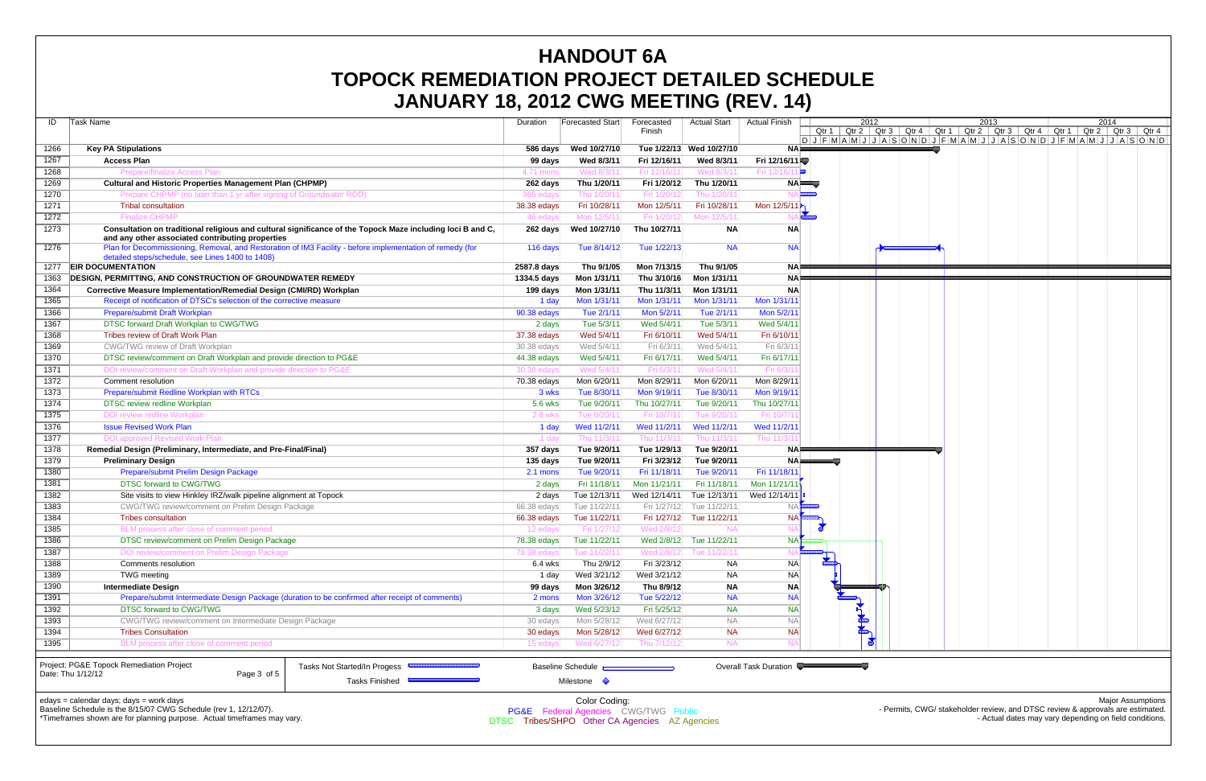|                                                                                                                                      | JANUARY 18, 2012 CWG MEETING (REV. 14)                                                                                                                         |                   |                                                                  |              |                          |                      |                                                                           |               |  |      |                                                                                               |      |                          |
|--------------------------------------------------------------------------------------------------------------------------------------|----------------------------------------------------------------------------------------------------------------------------------------------------------------|-------------------|------------------------------------------------------------------|--------------|--------------------------|----------------------|---------------------------------------------------------------------------|---------------|--|------|-----------------------------------------------------------------------------------------------|------|--------------------------|
| ID                                                                                                                                   | Task Name                                                                                                                                                      | Duration          | Forecasted Start                                                 | Forecasted   | <b>Actual Start</b>      | <b>Actual Finish</b> |                                                                           | 2012          |  | 2013 |                                                                                               | 2014 |                          |
|                                                                                                                                      |                                                                                                                                                                |                   |                                                                  | Finish       |                          |                      |                                                                           |               |  |      | Qtr 1   Qtr 2   Qtr 3   Qtr 4   Qtr 1   Qtr 2   Qtr 3   Qtr 4   Qtr 1   Qtr 2   Qtr 3   Qtr 4 |      |                          |
|                                                                                                                                      |                                                                                                                                                                |                   |                                                                  |              |                          |                      | 0 J F M A M J J A S O N D J F M A M J J A S O N D J F M A M J J A S O N D |               |  |      |                                                                                               |      |                          |
| 1266                                                                                                                                 | <b>Key PA Stipulations</b>                                                                                                                                     | 586 days          | Wed 10/27/10                                                     |              | Tue 1/22/13 Wed 10/27/10 | NA⊫                  |                                                                           |               |  |      |                                                                                               |      |                          |
| 1267                                                                                                                                 | <b>Access Plan</b>                                                                                                                                             | 99 days           | Wed 8/3/11                                                       | Fri 12/16/11 | Wed 8/3/11               | Fri 12/16/11         |                                                                           |               |  |      |                                                                                               |      |                          |
| 1268                                                                                                                                 | <b>Prepare/finalize Access Plan</b>                                                                                                                            | 4.71 mons         | Wed 8/3/11                                                       | Fri 12/16/1  | Wed 8/3/11               | Fri 12/16/1          | E                                                                         |               |  |      |                                                                                               |      |                          |
| 1269                                                                                                                                 | <b>Cultural and Historic Properties Management Plan (CHPMP)</b>                                                                                                | 262 days          | Thu 1/20/11                                                      | Fri 1/20/12  | Thu 1/20/11              |                      | $NA \equiv 0$                                                             |               |  |      |                                                                                               |      |                          |
| 1270                                                                                                                                 | Prepare CHPMP (no later than 1 yr after signing of Groundwater ROD)                                                                                            | 365 edays         | Thu 1/20/1                                                       | Fri 1/20/    | Thu 1/20/1               |                      |                                                                           |               |  |      |                                                                                               |      |                          |
| 1271                                                                                                                                 | <b>Tribal consultation</b>                                                                                                                                     | 38.38 edays       | Fri 10/28/11                                                     | Mon 12/5/11  | Fri 10/28/11             | Mon 12/5/11          |                                                                           |               |  |      |                                                                                               |      |                          |
| 1272                                                                                                                                 | <b>Finalize CHPMP</b>                                                                                                                                          | 46 edays          | Mon 12/5/11                                                      | Fri 1/20/1   | Mon 12/5/1               |                      |                                                                           |               |  |      |                                                                                               |      |                          |
| 1273                                                                                                                                 | Consultation on traditional religious and cultural significance of the Topock Maze including loci B and C,<br>and any other associated contributing properties | 262 days          | Wed 10/27/10                                                     | Thu 10/27/11 | <b>NA</b>                | <b>NA</b>            |                                                                           |               |  |      |                                                                                               |      |                          |
| 1276                                                                                                                                 | Plan for Decommissioning, Removal, and Restoration of IM3 Facility - before implementation of remedy (for<br>detailed steps/schedule, see Lines 1400 to 1408)  | 116 days          | Tue 8/14/12                                                      | Tue 1/22/13  | <b>NA</b>                | <b>NAI</b>           |                                                                           |               |  |      |                                                                                               |      |                          |
| 1277                                                                                                                                 | <b>EIR DOCUMENTATION</b>                                                                                                                                       | 2587.8 days       | Thu 9/1/05                                                       | Mon 7/13/15  | Thu 9/1/05               | NA⊫                  |                                                                           |               |  |      |                                                                                               |      |                          |
| 1363                                                                                                                                 | <b>DESIGN, PERMITTING, AND CONSTRUCTION OF GROUNDWATER REMEDY</b>                                                                                              | 1334.5 days       | Mon 1/31/11                                                      | Thu 3/10/16  | Mon 1/31/11              |                      |                                                                           |               |  |      |                                                                                               |      |                          |
| 1364                                                                                                                                 | <b>Corrective Measure Implementation/Remedial Design (CMI/RD) Workplan</b>                                                                                     | 199 days          | Mon 1/31/11                                                      | Thu 11/3/11  | Mon 1/31/11              | <b>NA</b>            |                                                                           |               |  |      |                                                                                               |      |                          |
| 1365                                                                                                                                 | Receipt of notification of DTSC's selection of the corrective measure                                                                                          | 1 day             | Mon 1/31/11                                                      | Mon 1/31/11  | Mon 1/31/11              | Mon 1/31/1           |                                                                           |               |  |      |                                                                                               |      |                          |
| 1366                                                                                                                                 | Prepare/submit Draft Workplan                                                                                                                                  | 90.38 edays       | Tue 2/1/11                                                       | Mon 5/2/11   | Tue 2/1/11               | Mon 5/2/1            |                                                                           |               |  |      |                                                                                               |      |                          |
| 1367                                                                                                                                 | DTSC forward Draft Workplan to CWG/TWG                                                                                                                         | 2 days            | Tue 5/3/11                                                       | Wed 5/4/11   | Tue 5/3/11               | Wed 5/4/1            |                                                                           |               |  |      |                                                                                               |      |                          |
| 1368                                                                                                                                 | <b>Tribes review of Draft Work Plan</b>                                                                                                                        | 37.38 edays       | Wed 5/4/11                                                       | Fri 6/10/11  | Wed 5/4/11               | Fri 6/10/1           |                                                                           |               |  |      |                                                                                               |      |                          |
| 1369                                                                                                                                 | <b>CWG/TWG review of Draft Workplan</b>                                                                                                                        | 30.38 edays       | Wed 5/4/11                                                       | Fri 6/3/11   | Wed 5/4/11               | Fri 6/3/1            |                                                                           |               |  |      |                                                                                               |      |                          |
| 1370                                                                                                                                 | DTSC review/comment on Draft Workplan and provide direction to PG&E                                                                                            | 44.38 edays       | Wed 5/4/11                                                       | Fri 6/17/11  | Wed 5/4/11               | Fri 6/17/1           |                                                                           |               |  |      |                                                                                               |      |                          |
| 1371                                                                                                                                 | DOI review/comment on Draft Workplan and provide direction to PG&E                                                                                             | 30.38 edays       | Wed 5/4/11                                                       | Fri 6/3/1    | Wed 5/4/1                | Fri 6/3/             |                                                                           |               |  |      |                                                                                               |      |                          |
| 1372                                                                                                                                 | Comment resolution                                                                                                                                             | 70.38 edays       | Mon 6/20/11                                                      | Mon 8/29/11  | Mon 6/20/11              | Mon 8/29/1           |                                                                           |               |  |      |                                                                                               |      |                          |
| 1373                                                                                                                                 | Prepare/submit Redline Workplan with RTCs                                                                                                                      | 3 wks             | Tue 8/30/11                                                      | Mon 9/19/11  | Tue 8/30/11              | Mon 9/19/1           |                                                                           |               |  |      |                                                                                               |      |                          |
| 1374                                                                                                                                 | DTSC review redline Workplan                                                                                                                                   | 5.6 wks           | Tue 9/20/11                                                      | Thu 10/27/11 | Tue 9/20/11              | Thu 10/27/1          |                                                                           |               |  |      |                                                                                               |      |                          |
| 1375                                                                                                                                 | DOI review redline Workplan                                                                                                                                    | 2.8 wks           | Tue 9/20/11                                                      | Fri 10/7/1   | Tue 9/20/1               | Fri 10/7/            |                                                                           |               |  |      |                                                                                               |      |                          |
| 1376                                                                                                                                 | <b>Issue Revised Work Plan</b>                                                                                                                                 | 1 day             | Wed 11/2/11                                                      | Wed 11/2/11  | Wed 11/2/11              | Wed 11/2/1           |                                                                           |               |  |      |                                                                                               |      |                          |
| 1377                                                                                                                                 | DOI approved Revised Work Plan                                                                                                                                 | 1 dav             | Thu 11/3/11                                                      | Thu 11/3/1   | Thu 11/3/11              | Thu 11/3/            |                                                                           |               |  |      |                                                                                               |      |                          |
| 1378                                                                                                                                 | Remedial Design (Preliminary, Intermediate, and Pre-Final/Final)                                                                                               | 357 days          | Tue 9/20/11                                                      | Tue 1/29/13  | Tue 9/20/11              | <b>NA</b>            |                                                                           |               |  |      |                                                                                               |      |                          |
| 1379                                                                                                                                 | <b>Preliminary Design</b>                                                                                                                                      | 135 days          | Tue 9/20/11                                                      | Fri 3/23/12  | Tue 9/20/11              | $NA \equiv$          |                                                                           |               |  |      |                                                                                               |      |                          |
| 1380                                                                                                                                 | Prepare/submit Prelim Design Package                                                                                                                           | 2.1 mons          | Tue 9/20/11                                                      | Fri 11/18/11 | Tue 9/20/11              | Fri 11/18/1          |                                                                           |               |  |      |                                                                                               |      |                          |
| 1381                                                                                                                                 | DTSC forward to CWG/TWG                                                                                                                                        | 2 days            | Fri 11/18/11                                                     | Mon 11/21/11 | Fri 11/18/11             | Mon 11/21/11         |                                                                           |               |  |      |                                                                                               |      |                          |
| 1382                                                                                                                                 | Site visits to view Hinkley IRZ/walk pipeline alignment at Topock                                                                                              | 2 days            | Tue 12/13/11                                                     | Wed 12/14/11 | Tue 12/13/11             | Wed 12/14/1          |                                                                           |               |  |      |                                                                                               |      |                          |
| 1383                                                                                                                                 | <b>CWG/TWG review/comment on Prelim Design Package</b>                                                                                                         | $66.38$ edays     | Tue 11/22/11                                                     | Fri 1/27/12  | Tue 11/22/11             |                      |                                                                           |               |  |      |                                                                                               |      |                          |
| 1384                                                                                                                                 | <b>Tribes consultation</b>                                                                                                                                     | 66.38 edays       | Tue 11/22/11                                                     |              | Fri 1/27/12 Tue 11/22/11 | <b>NA</b>            |                                                                           |               |  |      |                                                                                               |      |                          |
| 1385                                                                                                                                 | BLM process after close of comment period                                                                                                                      | 12 edays          | Fri 1/27/12                                                      | Wed 2/8/1:   |                          |                      |                                                                           |               |  |      |                                                                                               |      |                          |
| 1386                                                                                                                                 | DTSC review/comment on Prelim Design Package                                                                                                                   | 78.38 edays       | Tue 11/22/11                                                     |              | Wed 2/8/12 Tue 11/22/11  | <b>NA</b>            |                                                                           |               |  |      |                                                                                               |      |                          |
| 1387                                                                                                                                 | DOI review/comment on Prelim Design Package                                                                                                                    | 78.38 edays       | Tue 11/22/11                                                     | Wed 2/8/     | Tue 11/22/1              |                      |                                                                           |               |  |      |                                                                                               |      |                          |
| 1388                                                                                                                                 | Comments resolution                                                                                                                                            | $6.4$ wks         | Thu 2/9/12                                                       | Fri 3/23/12  | NA                       | <b>NA</b>            | $\frac{1}{2}$                                                             |               |  |      |                                                                                               |      |                          |
| 1389                                                                                                                                 | TWG meeting                                                                                                                                                    | 1 day             | Wed 3/21/12                                                      | Wed 3/21/12  | <b>NA</b>                | <b>NA</b>            |                                                                           |               |  |      |                                                                                               |      |                          |
| 1390                                                                                                                                 | <b>Intermediate Design</b>                                                                                                                                     |                   | Mon 3/26/12                                                      | Thu 8/9/12   |                          | ΝA                   |                                                                           |               |  |      |                                                                                               |      |                          |
|                                                                                                                                      | Prepare/submit Intermediate Design Package (duration to be confirmed after receipt of comments)                                                                | 99 days<br>2 mons | Mon 3/26/12                                                      | Tue 5/22/12  | <b>NA</b><br><b>NA</b>   | <b>NA</b>            |                                                                           |               |  |      |                                                                                               |      |                          |
| 1391                                                                                                                                 |                                                                                                                                                                |                   |                                                                  |              |                          | <b>NA</b>            |                                                                           |               |  |      |                                                                                               |      |                          |
| 1392                                                                                                                                 | DTSC forward to CWG/TWG                                                                                                                                        | 3 days            | Wed 5/23/12                                                      | Fri 5/25/12  | <b>NA</b>                |                      |                                                                           |               |  |      |                                                                                               |      |                          |
| 1393                                                                                                                                 | CWG/TWG review/comment on Intermediate Design Package                                                                                                          | 30 edays          | Mon 5/28/12                                                      | Wed 6/27/12  | <b>NA</b>                | <b>NA</b>            |                                                                           |               |  |      |                                                                                               |      |                          |
| 1394                                                                                                                                 | <b>Tribes Consultation</b>                                                                                                                                     | 30 edays          | Mon 5/28/12                                                      | Wed 6/27/12  | <b>NA</b>                | <b>NA</b>            |                                                                           | <b>READER</b> |  |      |                                                                                               |      |                          |
| 1395                                                                                                                                 | BLM process after close of comment period                                                                                                                      | 15 edays          | Wed 6/27/12                                                      | Thu 7/12/1   |                          |                      |                                                                           |               |  |      |                                                                                               |      |                          |
| Project: PG&E Topock Remediation Project<br>Tasks Not Started/In Progess<br><b>Overall Task Duration</b><br><b>Baseline Schedule</b> |                                                                                                                                                                |                   |                                                                  |              |                          |                      |                                                                           |               |  |      |                                                                                               |      |                          |
|                                                                                                                                      | Date: Thu 1/12/12<br>Page 3 of 5                                                                                                                               |                   |                                                                  |              |                          |                      |                                                                           |               |  |      |                                                                                               |      |                          |
|                                                                                                                                      | Tasks Finished                                                                                                                                                 |                   | Milestone $\Diamond$                                             |              |                          |                      |                                                                           |               |  |      |                                                                                               |      |                          |
|                                                                                                                                      | edays = calendar days; days = work days                                                                                                                        |                   |                                                                  |              |                          |                      |                                                                           |               |  |      |                                                                                               |      | <b>Major Assumptions</b> |
|                                                                                                                                      | Baseline Schedule is the 8/15/07 CWG Schedule (rev 1, 12/12/07).                                                                                               |                   | Color Coding:<br><b>PG&amp;E</b> Federal Agencies CWG/TWG Public |              |                          |                      |                                                                           |               |  |      | - Permits, CWG/ stakeholder review, and DTSC review & approvals are estimated.                |      |                          |

\*Timeframes shown are for planning purpose. Actual timeframes may vary.

DTSC Tribes/SHPO Other CA Agencies AZ Agencies

- Actual dates may vary depending on field conditions.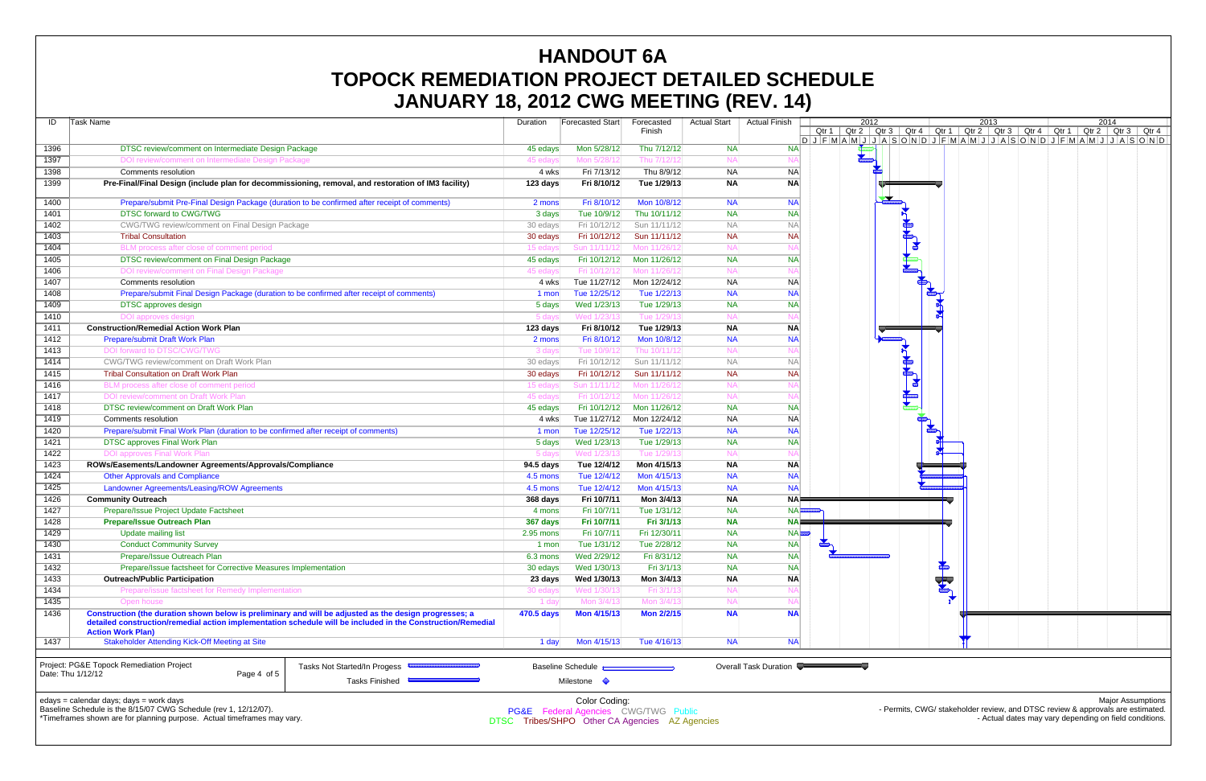| ID                | Task Name                                                                                              |                                                                                                             | Duration   | Forecasted Start                          | Forecasted<br>Finish | <b>Actual Start</b> | <b>Actual Finish</b>  |                                                                              | 2012<br>$Qtr 1   Qtr 2   CtF 3   CtF 4   CtF 1   CtF 2   CtF 3   CtF 4   CtF 1   CtF 2   CtF 3   CtF 4$ |              |                       |                      | 2013 |                                                                                |  | 2014                     |  |
|-------------------|--------------------------------------------------------------------------------------------------------|-------------------------------------------------------------------------------------------------------------|------------|-------------------------------------------|----------------------|---------------------|-----------------------|------------------------------------------------------------------------------|---------------------------------------------------------------------------------------------------------|--------------|-----------------------|----------------------|------|--------------------------------------------------------------------------------|--|--------------------------|--|
|                   |                                                                                                        |                                                                                                             |            |                                           |                      |                     |                       | $D J F M A M J J A S O N D J F M A M J J A S O N D J F M A M J J A S O N D $ |                                                                                                         |              |                       |                      |      |                                                                                |  |                          |  |
| 1396              | DTSC review/comment on Intermediate Design Package                                                     |                                                                                                             | 45 edays   | Mon 5/28/12                               | Thu 7/12/12          | <b>NA</b>           | <b>NAI</b>            |                                                                              |                                                                                                         |              |                       |                      |      |                                                                                |  |                          |  |
| 1397              | DOI review/comment on Intermediate Design Package                                                      |                                                                                                             | 45 edays   | Mon 5/28/12                               | Thu 7/12/1           | NA.                 |                       |                                                                              |                                                                                                         |              |                       |                      |      |                                                                                |  |                          |  |
| 1398              | Comments resolution                                                                                    |                                                                                                             | 4 wks      | Fri 7/13/12                               | Thu 8/9/12           | <b>NA</b>           | <b>NA</b>             |                                                                              |                                                                                                         |              |                       |                      |      |                                                                                |  |                          |  |
| 1399              | Pre-Final/Final Design (include plan for decommissioning, removal, and restoration of IM3 facility)    |                                                                                                             | 123 days   | Fri 8/10/12                               | Tue 1/29/13          | <b>NA</b>           | <b>NA</b>             |                                                                              |                                                                                                         |              |                       |                      |      |                                                                                |  |                          |  |
|                   |                                                                                                        |                                                                                                             |            |                                           |                      |                     |                       |                                                                              |                                                                                                         |              |                       |                      |      |                                                                                |  |                          |  |
| 1400              | Prepare/submit Pre-Final Design Package (duration to be confirmed after receipt of comments)           |                                                                                                             | 2 mons     | Fri 8/10/12                               | Mon 10/8/12          | <b>NA</b>           | <b>NA</b>             |                                                                              |                                                                                                         | $\mathbf{Z}$ |                       |                      |      |                                                                                |  |                          |  |
| 1401              | <b>DTSC forward to CWG/TWG</b>                                                                         |                                                                                                             | 3 days     | Tue 10/9/12                               | Thu 10/11/12         | <b>NA</b>           | <b>NA</b>             |                                                                              |                                                                                                         |              |                       |                      |      |                                                                                |  |                          |  |
| 1402              | CWG/TWG review/comment on Final Design Package                                                         |                                                                                                             | 30 edays   | Fri 10/12/12                              | Sun 11/11/12         | <b>NA</b>           | <b>NA</b>             |                                                                              |                                                                                                         |              |                       |                      |      |                                                                                |  |                          |  |
| 1403              | <b>Tribal Consultation</b>                                                                             |                                                                                                             | 30 edays   | Fri 10/12/12                              | Sun 11/11/12         | <b>NA</b>           | <b>NA</b>             |                                                                              |                                                                                                         |              |                       |                      |      |                                                                                |  |                          |  |
| 1404              | BLM process after close of comment period                                                              |                                                                                                             | 15 edays   | Sun 11/11/12L                             | Mon 11/26/12         | <b>NA</b>           |                       |                                                                              |                                                                                                         |              | $\blacktriangleright$ |                      |      |                                                                                |  |                          |  |
| 1405              | DTSC review/comment on Final Design Package                                                            |                                                                                                             | 45 edays   | Fri 10/12/12                              | Mon 11/26/12         | <b>NA</b>           | <b>NA</b>             |                                                                              |                                                                                                         |              |                       |                      |      |                                                                                |  |                          |  |
| 1406              | DOI review/comment on Final Design Package                                                             |                                                                                                             | 45 edays   | Fri 10/12/12                              | Mon 11/26/1:         | <b>NA</b>           |                       |                                                                              |                                                                                                         |              |                       |                      |      |                                                                                |  |                          |  |
| 1407              | Comments resolution                                                                                    |                                                                                                             | 4 wks      | Tue 11/27/12                              | Mon 12/24/12         | <b>NA</b>           | <b>NA</b>             |                                                                              |                                                                                                         |              |                       |                      |      |                                                                                |  |                          |  |
| 1408              | Prepare/submit Final Design Package (duration to be confirmed after receipt of comments)               |                                                                                                             | 1 mon      | Tue 12/25/12                              | Tue 1/22/13          | <b>NA</b>           | <b>NA</b>             |                                                                              |                                                                                                         |              |                       |                      |      |                                                                                |  |                          |  |
| 1409              | <b>DTSC</b> approves design                                                                            |                                                                                                             | 5 days     | Wed 1/23/13                               | Tue 1/29/13          | <b>NA</b>           | <b>NA</b>             |                                                                              |                                                                                                         |              |                       |                      |      |                                                                                |  |                          |  |
| 1410              | DOI approves design                                                                                    |                                                                                                             | 5 days     | Wed 1/23/13                               | Tue 1/29/1           | <b>NA</b>           |                       |                                                                              |                                                                                                         |              |                       |                      |      |                                                                                |  |                          |  |
| 1411              | <b>Construction/Remedial Action Work Plan</b>                                                          |                                                                                                             | 123 days   | Fri 8/10/12                               | Tue 1/29/13          | <b>NA</b>           | <b>NA</b>             |                                                                              |                                                                                                         |              |                       |                      |      |                                                                                |  |                          |  |
| 1412              | <b>Prepare/submit Draft Work Plan</b>                                                                  |                                                                                                             | 2 mons     | Fri 8/10/12                               | Mon 10/8/12          | <b>NA</b>           | <b>NA</b>             |                                                                              |                                                                                                         |              |                       |                      |      |                                                                                |  |                          |  |
| 1413              | DOI forward to DTSC/CWG/TWG                                                                            |                                                                                                             | 3 days     | Tue 10/9/12                               | Thu 10/11/1:         | <b>NA</b>           |                       |                                                                              |                                                                                                         |              |                       |                      |      |                                                                                |  |                          |  |
|                   |                                                                                                        |                                                                                                             |            |                                           | Sun 11/11/12         | <b>NA</b>           | <b>NA</b>             |                                                                              |                                                                                                         |              | do                    |                      |      |                                                                                |  |                          |  |
| 1414              | CWG/TWG review/comment on Draft Work Plan                                                              |                                                                                                             | 30 edays   | Fri 10/12/12                              |                      |                     | <b>NA</b>             |                                                                              |                                                                                                         |              |                       |                      |      |                                                                                |  |                          |  |
| 1415              | <b>Tribal Consultation on Draft Work Plan</b>                                                          |                                                                                                             | 30 edays   | Fri 10/12/12                              | Sun 11/11/12         | <b>NA</b>           |                       |                                                                              |                                                                                                         |              | $\mathbf{a}$          |                      |      |                                                                                |  |                          |  |
| 1416              | BLM process after close of comment period                                                              |                                                                                                             | 15 edays   | Sun 11/11/12                              | Mon 11/26/1          | <b>NA</b>           |                       |                                                                              |                                                                                                         |              |                       |                      |      |                                                                                |  |                          |  |
| 1417              | DOI review/comment on Draft Work Plan                                                                  |                                                                                                             | 45 edavs   | Fri 10/12/12                              | Mon 11/26/1:         | <b>NA</b>           |                       |                                                                              |                                                                                                         |              |                       |                      |      |                                                                                |  |                          |  |
| 1418              | DTSC review/comment on Draft Work Plan                                                                 |                                                                                                             | 45 edays   | Fri 10/12/12                              | Mon 11/26/12         | <b>NA</b>           | <b>NA</b>             |                                                                              |                                                                                                         |              |                       |                      |      |                                                                                |  |                          |  |
| 1419              | <b>Comments resolution</b>                                                                             |                                                                                                             | 4 wks      | Tue 11/27/12                              | Mon 12/24/12         | <b>NA</b>           | <b>NA</b>             |                                                                              |                                                                                                         |              |                       |                      |      |                                                                                |  |                          |  |
| 1420              | Prepare/submit Final Work Plan (duration to be confirmed after receipt of comments)                    |                                                                                                             | 1 mon      | Tue 12/25/12                              | Tue 1/22/13          | <b>NA</b>           | <b>NA</b>             |                                                                              |                                                                                                         |              |                       |                      |      |                                                                                |  |                          |  |
| 1421              | <b>DTSC approves Final Work Plan</b>                                                                   |                                                                                                             | 5 days     | Wed 1/23/13                               | Tue 1/29/13          | <b>NA</b>           | <b>NA</b>             |                                                                              |                                                                                                         |              |                       |                      |      |                                                                                |  |                          |  |
| 1422              | <b>DOI approves Final Work Plan</b>                                                                    |                                                                                                             | 5 days     | Wed 1/23/1                                | Tue 1/29/            | NA.                 |                       |                                                                              |                                                                                                         |              |                       |                      |      |                                                                                |  |                          |  |
| 1423              | ROWs/Easements/Landowner Agreements/Approvals/Compliance                                               |                                                                                                             | 94.5 days  | Tue 12/4/12                               | Mon 4/15/13          | <b>NA</b>           | <b>NA</b>             |                                                                              |                                                                                                         |              |                       |                      |      |                                                                                |  |                          |  |
| 1424              | <b>Other Approvals and Compliance</b>                                                                  |                                                                                                             | 4.5 mons   | Tue 12/4/12                               | Mon 4/15/13          | <b>NA</b>           | <b>NA</b>             |                                                                              |                                                                                                         |              |                       |                      |      |                                                                                |  |                          |  |
| 1425              | Landowner Agreements/Leasing/ROW Agreements                                                            |                                                                                                             | 4.5 mons   | Tue 12/4/12                               | Mon 4/15/13          | <b>NA</b>           | NA                    |                                                                              |                                                                                                         |              |                       |                      |      |                                                                                |  |                          |  |
| 1426              | <b>Community Outreach</b>                                                                              |                                                                                                             | 368 days   | Fri 10/7/11                               | Mon 3/4/13           | <b>NA</b>           | NA⊫                   |                                                                              |                                                                                                         |              |                       |                      |      |                                                                                |  |                          |  |
| 1427              | Prepare/Issue Project Update Factsheet                                                                 |                                                                                                             | 4 mons     | Fri 10/7/11                               | Tue 1/31/12          | <b>NA</b>           | NA                    |                                                                              |                                                                                                         |              |                       |                      |      |                                                                                |  |                          |  |
| 1428              | <b>Prepare/Issue Outreach Plan</b>                                                                     |                                                                                                             | 367 days   | Fri 10/7/11                               | Fri 3/1/13           | <b>NA</b>           | NA                    |                                                                              |                                                                                                         |              |                       |                      |      |                                                                                |  |                          |  |
| 1429              | <b>Update mailing list</b>                                                                             |                                                                                                             | 2.95 mons  | Fri 10/7/11                               | Fri 12/30/11         | <b>NA</b>           |                       | <b>NA</b>                                                                    |                                                                                                         |              |                       |                      |      |                                                                                |  |                          |  |
| 1430              | <b>Conduct Community Survey</b>                                                                        |                                                                                                             | 1 mon      | Tue 1/31/12                               | Tue 2/28/12          | <b>NA</b>           | <b>NA</b>             | <b>ROOM</b>                                                                  |                                                                                                         |              |                       |                      |      |                                                                                |  |                          |  |
| 1431              | Prepare/Issue Outreach Plan                                                                            |                                                                                                             | 6.3 mons   | Wed 2/29/12                               | Fri 8/31/12          | <b>NA</b>           | <b>NA</b>             |                                                                              |                                                                                                         |              |                       |                      |      |                                                                                |  |                          |  |
| 1432              | Prepare/Issue factsheet for Corrective Measures Implementation                                         |                                                                                                             | 30 edays   | Wed 1/30/13                               | Fri 3/1/13           | <b>NA</b>           | <b>NA</b>             |                                                                              |                                                                                                         |              |                       | $\frac{1}{\sqrt{2}}$ |      |                                                                                |  |                          |  |
| 1433              | <b>Outreach/Public Participation</b>                                                                   |                                                                                                             | 23 days    | Wed 1/30/13                               | Mon 3/4/13           | <b>NA</b>           | <b>NA</b>             |                                                                              |                                                                                                         |              |                       |                      |      |                                                                                |  |                          |  |
| 1434              | Prepare/issue factsheet for Remedy Implementation                                                      |                                                                                                             | 30 edays   | Wed 1/30/1:                               | Fri 3/1/1            | <b>NA</b>           |                       |                                                                              |                                                                                                         |              |                       | <b>The Second</b>    |      |                                                                                |  |                          |  |
| 1435              | Open house                                                                                             |                                                                                                             | 1 day      | Mon 3/4/13                                | Mon 3/4/1            | <b>NA</b>           |                       |                                                                              |                                                                                                         |              |                       |                      |      |                                                                                |  |                          |  |
| 1436              | Construction (the duration shown below is preliminary and will be adjusted as the design progresses; a |                                                                                                             | 470.5 days | Mon 4/15/13                               | <b>Mon 2/2/15</b>    | <b>NA</b>           | <b>NAI</b>            |                                                                              |                                                                                                         |              |                       |                      |      |                                                                                |  |                          |  |
|                   |                                                                                                        | detailed construction/remedial action implementation schedule will be included in the Construction/Remedial |            |                                           |                      |                     |                       |                                                                              |                                                                                                         |              |                       |                      |      |                                                                                |  |                          |  |
|                   | <b>Action Work Plan)</b>                                                                               |                                                                                                             |            |                                           |                      |                     |                       |                                                                              |                                                                                                         |              |                       |                      |      |                                                                                |  |                          |  |
| 1437              | <b>Stakeholder Attending Kick-Off Meeting at Site</b>                                                  |                                                                                                             | 1 day      | Mon 4/15/13                               | Tue 4/16/13          | <b>NA</b>           | <b>NA</b>             |                                                                              |                                                                                                         |              |                       |                      |      |                                                                                |  |                          |  |
|                   |                                                                                                        |                                                                                                             |            |                                           |                      |                     |                       |                                                                              |                                                                                                         |              |                       |                      |      |                                                                                |  |                          |  |
|                   | Project: PG&E Topock Remediation Project                                                               | Tasks Not Started/In Progess                                                                                |            | <b>Baseline Schedule</b>                  |                      |                     | Overall Task Duration |                                                                              |                                                                                                         |              |                       |                      |      |                                                                                |  |                          |  |
| Date: Thu 1/12/12 | Page 4 of 5                                                                                            | Tasks Finished –                                                                                            |            | Milestone $\Diamond$                      |                      |                     |                       |                                                                              |                                                                                                         |              |                       |                      |      |                                                                                |  |                          |  |
|                   |                                                                                                        |                                                                                                             |            |                                           |                      |                     |                       |                                                                              |                                                                                                         |              |                       |                      |      |                                                                                |  |                          |  |
|                   | edays = calendar days; days = work days                                                                |                                                                                                             |            | Color Coding:                             |                      |                     |                       |                                                                              |                                                                                                         |              |                       |                      |      |                                                                                |  | <b>Major Assumptions</b> |  |
|                   | Baseline Schedule is the 8/15/07 CWG Schedule (rev 1, 12/12/07).                                       |                                                                                                             |            | PG&E Federal Agencies CWG/TWG Public      |                      |                     |                       |                                                                              |                                                                                                         |              |                       |                      |      | - Permits, CWG/ stakeholder review, and DTSC review & approvals are estimated. |  |                          |  |
|                   | *Timeframes shown are for planning purpose. Actual timeframes may vary.                                | <b>DTSC</b>                                                                                                 |            | Tribes/SHPO Other CA Agencies AZ Agencies |                      |                     |                       |                                                                              |                                                                                                         |              |                       |                      |      | - Actual dates may vary depending on field conditions.                         |  |                          |  |
|                   |                                                                                                        |                                                                                                             |            |                                           |                      |                     |                       |                                                                              |                                                                                                         |              |                       |                      |      |                                                                                |  |                          |  |